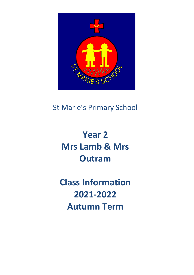

# St Marie's Primary School

# **Year 2 Mrs Lamb & Mrs Outram**

**Class Information 2021-2022 Autumn Term**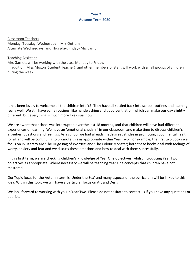# **Year 2 Autumn Term 2020**

Classroom Teachers Monday, Tuesday, Wednesday -- Mrs Outram Alternate Wednesdays, and Thursday, Friday- Mrs Lamb

### Teaching Assistant

Mrs Garnett will be working with the class Monday to Friday.

In addition, Miss Moxon (Student Teacher), and other members of staff, will work with small groups of children during the week.

It has been lovely to welcome all the children into Y2! They have all settled back into school routines and learning really well. We still have some routines, like handwashing and good ventilation, which can make our day slightly different, but everything is much more like usual now.

We are aware that school was interrupted over the last 18 months, and that children will have had different experiences of learning. We have an 'emotional check-in' in our classroom and make time to discuss children's anxieties, questions and feelings. As a school we had already made great strides in promoting good mental health for all and will be continuing to promote this as appropriate within Year Two. For example, the first two books we focus on in Literacy are 'The Huge Bag of Worries' and 'The Colour Monster; both these books deal with feelings of worry, anxiety and fear and we discuss these emotions and how to deal with them successfully.

In this first term, we are checking children's knowledge of Year One objectives, whilst introducing Year Two objectives as appropriate. Where necessary we will be teaching Year One concepts that children have not mastered.

Our Topic focus for the Autumn term is 'Under the Sea' and many aspects of the curriculum will be linked to this idea. Within this topic we will have a particular focus on Art and Design.

We look forward to working with you in Year Two. Please do not hesitate to contact us if you have any questions or queries.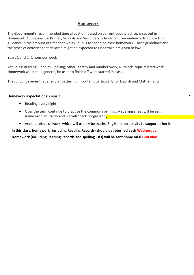# **Homework**

The Government's recommended time allocation, based on current good practice, is set out in Homework: Guidelines for Primary Schools and Secondary Schools, and we endeavor to follow this guidance in the amount of time that we ask pupils to spend on their homework. These guidelines and the types of activities that children might be expected to undertake are given below.

Years 1 and 2: 1 hour per week

Activities: Reading, Phonics, Spelling, other literacy and number work, RE Work, topic related work. Homework will not, in general, be used to finish off work started in class.

The school believes that a regular pattern is important, particularly for English and Mathematics.

#### **Homework expectations:** (Year 2)

- Reading every night.
- Over the term continue to practice the common spellings. A spelling sheet will be sent home each Thursday and we will check progress th<sub>o</sub>llowing Monday. The following Monday
- Another piece of work, which will usually be maths, English or an activity to support other in

 $\bullet$ 

**In this class, homework (including Reading Records) should be returned each Wednesday. Homework (including Reading Records and spelling lists) will be sent home on a Thursday.**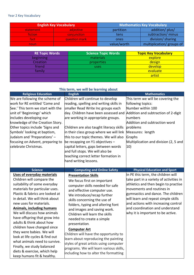## Year 2 Key Vocabulary

|           | <b>English Key Vocabulary</b> | <b>Mathematics Key Vocabulary</b> |                           |  |  |
|-----------|-------------------------------|-----------------------------------|---------------------------|--|--|
| statement | adjective                     | partition                         | addition/ plus/           |  |  |
| fiction   | conjunction                   | tens                              | subtraction/ minus        |  |  |
| fact:     | question mark                 | ones                              | division/ sharing         |  |  |
| noun      |                               | value/worth                       | multiplication/ groups of |  |  |

| <b>RE Topic Words</b> | <b>Science Topic Words</b><br><b>Topic Key Vocabulary</b> |          |  |
|-----------------------|-----------------------------------------------------------|----------|--|
| beginning             | materials                                                 | explore  |  |
| Creation              | properties                                                | design   |  |
| friend                | uses                                                      | develop  |  |
| family                |                                                           | evaluate |  |
|                       |                                                           | artist   |  |
|                       |                                                           |          |  |

| This term, we will be learning about                                                                                                                                                                                                                                                                                                                                                                                                                                                                                                                                                 |                                                                                                                                                                                                                                                                                                                                                                                                                                                                                                                                                                                     |                                                                                                                                                                                                                                                                                                                                                |  |  |  |  |  |
|--------------------------------------------------------------------------------------------------------------------------------------------------------------------------------------------------------------------------------------------------------------------------------------------------------------------------------------------------------------------------------------------------------------------------------------------------------------------------------------------------------------------------------------------------------------------------------------|-------------------------------------------------------------------------------------------------------------------------------------------------------------------------------------------------------------------------------------------------------------------------------------------------------------------------------------------------------------------------------------------------------------------------------------------------------------------------------------------------------------------------------------------------------------------------------------|------------------------------------------------------------------------------------------------------------------------------------------------------------------------------------------------------------------------------------------------------------------------------------------------------------------------------------------------|--|--|--|--|--|
| <b>Religious Education</b>                                                                                                                                                                                                                                                                                                                                                                                                                                                                                                                                                           | <b>English</b>                                                                                                                                                                                                                                                                                                                                                                                                                                                                                                                                                                      | <b>Mathematics</b>                                                                                                                                                                                                                                                                                                                             |  |  |  |  |  |
| We are following the scheme of<br>work for RE entitled 'Come and<br>See.' This term we start with the<br>unit of 'Beginnings' which<br>includes developing our<br>knowledge of the Creation Story.<br>Other topics include 'Signs and<br>Symbols' looking at baptism,<br>Judaism and 'Preparations' -<br>focusing on Advent, preparing to<br>celebrate Christmas.                                                                                                                                                                                                                    | Children will continue to develop<br>reading, spelling and writing skills in<br>smaller Read Write Inc groups each<br>day. Children have been assessed and<br>are working in appropriate groups.<br>Children are also taught literacy skills<br>in their class group where we will link<br>this to our topic themes. We will also<br>be recapping on $Y1$ objectives -<br>capital letters, gaps between words<br>and full stops. We will also be<br>teaching correct letter formation in<br>hand writing lessons.                                                                   | This term we will be covering the<br>following topics:<br>Number within 100<br>Addition and subtraction of 2-digit<br>numbers<br>Addition and subtraction word<br>problems<br>Measures: length<br>Graphs<br>Multiplication and division (2, 5 and<br>10)                                                                                       |  |  |  |  |  |
| <b>Science</b>                                                                                                                                                                                                                                                                                                                                                                                                                                                                                                                                                                       | <b>Computing and Online Safety</b>                                                                                                                                                                                                                                                                                                                                                                                                                                                                                                                                                  | <b>Physical Education and Sport</b>                                                                                                                                                                                                                                                                                                            |  |  |  |  |  |
| <b>Uses of everyday materials</b><br>Children will compare the<br>suitability of some everyday<br>materials for particular uses.<br>Plastic & fabrics are looked at<br>in detail. We will think about<br>new uses for materials.<br>Animals, including humans<br>We will discuss how animals<br>have offspring that grow into<br>adults & think about how<br>children have changed since<br>they were babies. We will<br>look at life cycles & find out<br>what animals need to survive.<br>Finally, we study balanced<br>diets & exercise, which help<br>keep humans fit & healthy. | <b>Presentation Skills</b><br>We focus first on important<br>computer skills needed for safe<br>and effective computer use.<br>We introduce/recap further<br>skills concerning the use of<br>folders, typing and altering font<br>and images and saving work.<br>Children will learn the skills<br>needed to create a simple<br>presentation.<br><b>Computer Art</b><br>Children will have the opportunity to<br>learn about reproducing the painting<br>styles of great artists using computer<br>programs. We will learn various skills,<br>including how to alter the formatting | In PE this term, the children will<br>take part in a variety of activities in<br>athletics and then begin to practise<br>movements and routines in<br>gymnastics and dance. The children<br>will learn and repeat simple skills<br>and actions with increasing control<br>and coordination and understand<br>why it is important to be active. |  |  |  |  |  |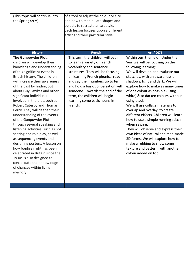| (This topic will continue into<br>the Spring term)                                                                                                                                                                                                                                                                                                                                                                                                                                                                                                                                                                                                                                                                                                                                | of a tool to adjust the colour or size<br>and how to manipulate shapes and<br>objects to recreate an art style.<br>Each lesson focuses upon a different<br>artist and their particular style.                                                                                                                                                                 |                                                                                                                                                                                                                                                                                                                                                                                                                                                                                                                                                                                                                                                                                                                     |
|-----------------------------------------------------------------------------------------------------------------------------------------------------------------------------------------------------------------------------------------------------------------------------------------------------------------------------------------------------------------------------------------------------------------------------------------------------------------------------------------------------------------------------------------------------------------------------------------------------------------------------------------------------------------------------------------------------------------------------------------------------------------------------------|---------------------------------------------------------------------------------------------------------------------------------------------------------------------------------------------------------------------------------------------------------------------------------------------------------------------------------------------------------------|---------------------------------------------------------------------------------------------------------------------------------------------------------------------------------------------------------------------------------------------------------------------------------------------------------------------------------------------------------------------------------------------------------------------------------------------------------------------------------------------------------------------------------------------------------------------------------------------------------------------------------------------------------------------------------------------------------------------|
| <b>History</b>                                                                                                                                                                                                                                                                                                                                                                                                                                                                                                                                                                                                                                                                                                                                                                    | <b>French</b>                                                                                                                                                                                                                                                                                                                                                 | Art / D&T                                                                                                                                                                                                                                                                                                                                                                                                                                                                                                                                                                                                                                                                                                           |
| The Gunpowder Plot:<br>children will develop their<br>knowledge and understanding<br>of this significant event in<br>British history. The children<br>will increase their awareness<br>of the past by finding out<br>about Guy Fawkes and other<br>significant individuals<br>involved in the plot, such as<br><b>Robert Catesby and Thomas</b><br>Percy. They will deepen their<br>understanding of the events<br>of the Gunpowder Plot<br>through several speaking and<br>listening activities, such as hot<br>seating and role play, as well<br>as sequencing events and<br>designing posters. A lesson on<br>how bonfire night has been<br>celebrated in Britain since the<br>1930s is also designed to<br>consolidate their knowledge<br>of changes within living<br>memory. | This term the children will begin<br>to learn a variety of French<br>vocabulary and sentence<br>structures. They will be focusing<br>on learning French phonics, read<br>and say their numbers up to ten<br>and hold a basic conversation with<br>someone. Towards the end of the<br>term, the children will begin<br>learning some basic nouns in<br>French. | Within our theme of 'Under the<br>Sea' we will be focusing on the<br>following learning:<br>We will develop and evaluate our<br>sketches, with an awareness of<br>shadows, light and dark. We will<br>explore how to make as many tones<br>of one colour as possible (using<br>white) & to darken colours without<br>using black.<br>We will use collage materials to<br>overlap and overlay, to create<br>different effects. Children will learn<br>how to use a simple running stitch<br>when sewing.<br>They will observe and express their<br>own ideas of natural and man-made<br>3D forms. We will explore how to<br>make a rubbing to show some<br>texture and pattern, with another<br>colour added on top. |